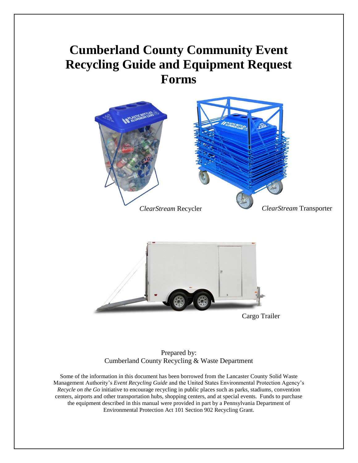# **Cumberland County Community Event Recycling Guide and Equipment Request Forms**



#### Prepared by: Cumberland County Recycling & Waste Department

Some of the information in this document has been borrowed from the Lancaster County Solid Waste Management Authority's *Event Recycling Guide* and the United States Environmental Protection Agency's *Recycle on the Go* initiative to encourage recycling in public places such as parks, stadiums, convention centers, airports and other transportation hubs, shopping centers, and at special events. Funds to purchase the equipment described in this manual were provided in part by a Pennsylvania Department of Environmental Protection Act 101 Section 902 Recycling Grant.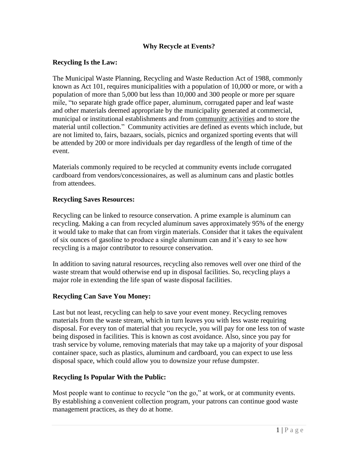## **Why Recycle at Events?**

#### **Recycling Is the Law:**

The Municipal Waste Planning, Recycling and Waste Reduction Act of 1988, commonly known as Act 101, requires municipalities with a population of 10,000 or more, or with a population of more than 5,000 but less than 10,000 and 300 people or more per square mile, "to separate high grade office paper, aluminum, corrugated paper and leaf waste and other materials deemed appropriate by the municipality generated at commercial, municipal or institutional establishments and from community activities and to store the material until collection." Community activities are defined as events which include, but are not limited to, fairs, bazaars, socials, picnics and organized sporting events that will be attended by 200 or more individuals per day regardless of the length of time of the event.

Materials commonly required to be recycled at community events include corrugated cardboard from vendors/concessionaires, as well as aluminum cans and plastic bottles from attendees.

#### **Recycling Saves Resources:**

Recycling can be linked to resource conservation. A prime example is aluminum can recycling. Making a can from recycled aluminum saves approximately 95% of the energy it would take to make that can from virgin materials. Consider that it takes the equivalent of six ounces of gasoline to produce a single aluminum can and it's easy to see how recycling is a major contributor to resource conservation.

In addition to saving natural resources, recycling also removes well over one third of the waste stream that would otherwise end up in disposal facilities. So, recycling plays a major role in extending the life span of waste disposal facilities.

#### **Recycling Can Save You Money:**

Last but not least, recycling can help to save your event money. Recycling removes materials from the waste stream, which in turn leaves you with less waste requiring disposal. For every ton of material that you recycle, you will pay for one less ton of waste being disposed in facilities. This is known as cost avoidance. Also, since you pay for trash service by volume, removing materials that may take up a majority of your disposal container space, such as plastics, aluminum and cardboard, you can expect to use less disposal space, which could allow you to downsize your refuse dumpster.

#### **Recycling Is Popular With the Public:**

Most people want to continue to recycle "on the go," at work, or at community events. By establishing a convenient collection program, your patrons can continue good waste management practices, as they do at home.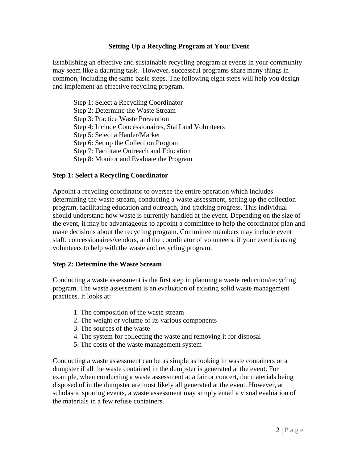### **Setting Up a Recycling Program at Your Event**

Establishing an effective and sustainable recycling program at events in your community may seem like a daunting task. However, successful programs share many things in common, including the same basic steps. The following eight steps will help you design and implement an effective recycling program.

- Step 1: Select a Recycling Coordinator
- Step 2: Determine the Waste Stream
- Step 3: Practice Waste Prevention
- Step 4: Include Concessionaires, Staff and Volunteers
- Step 5: Select a Hauler/Market
- Step 6: Set up the Collection Program
- Step 7: Facilitate Outreach and Education
- Step 8: Monitor and Evaluate the Program

#### **Step 1: Select a Recycling Coordinator**

Appoint a recycling coordinator to oversee the entire operation which includes determining the waste stream, conducting a waste assessment, setting up the collection program, facilitating education and outreach, and tracking progress. This individual should understand how waste is currently handled at the event. Depending on the size of the event, it may be advantageous to appoint a committee to help the coordinator plan and make decisions about the recycling program. Committee members may include event staff, concessionaires/vendors, and the coordinator of volunteers, if your event is using volunteers to help with the waste and recycling program.

#### **Step 2: Determine the Waste Stream**

Conducting a waste assessment is the first step in planning a waste reduction/recycling program. The waste assessment is an evaluation of existing solid waste management practices. It looks at:

- 1. The composition of the waste stream
- 2. The weight or volume of its various components
- 3. The sources of the waste
- 4. The system for collecting the waste and removing it for disposal
- 5. The costs of the waste management system

Conducting a waste assessment can be as simple as looking in waste containers or a dumpster if all the waste contained in the dumpster is generated at the event. For example, when conducting a waste assessment at a fair or concert, the materials being disposed of in the dumpster are most likely all generated at the event. However, at scholastic sporting events, a waste assessment may simply entail a visual evaluation of the materials in a few refuse containers.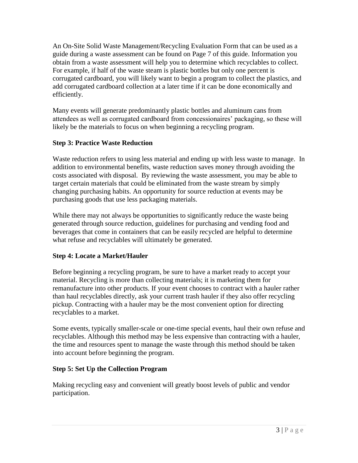An On-Site Solid Waste Management/Recycling Evaluation Form that can be used as a guide during a waste assessment can be found on Page 7 of this guide. Information you obtain from a waste assessment will help you to determine which recyclables to collect. For example, if half of the waste steam is plastic bottles but only one percent is corrugated cardboard, you will likely want to begin a program to collect the plastics, and add corrugated cardboard collection at a later time if it can be done economically and efficiently.

Many events will generate predominantly plastic bottles and aluminum cans from attendees as well as corrugated cardboard from concessionaires' packaging, so these will likely be the materials to focus on when beginning a recycling program.

## **Step 3: Practice Waste Reduction**

Waste reduction refers to using less material and ending up with less waste to manage. In addition to environmental benefits, waste reduction saves money through avoiding the costs associated with disposal. By reviewing the waste assessment, you may be able to target certain materials that could be eliminated from the waste stream by simply changing purchasing habits. An opportunity for source reduction at events may be purchasing goods that use less packaging materials.

While there may not always be opportunities to significantly reduce the waste being generated through source reduction, guidelines for purchasing and vending food and beverages that come in containers that can be easily recycled are helpful to determine what refuse and recyclables will ultimately be generated.

## **Step 4: Locate a Market/Hauler**

Before beginning a recycling program, be sure to have a market ready to accept your material. Recycling is more than collecting materials; it is marketing them for remanufacture into other products. If your event chooses to contract with a hauler rather than haul recyclables directly, ask your current trash hauler if they also offer recycling pickup. Contracting with a hauler may be the most convenient option for directing recyclables to a market.

Some events, typically smaller-scale or one-time special events, haul their own refuse and recyclables. Although this method may be less expensive than contracting with a hauler, the time and resources spent to manage the waste through this method should be taken into account before beginning the program.

## **Step 5: Set Up the Collection Program**

Making recycling easy and convenient will greatly boost levels of public and vendor participation.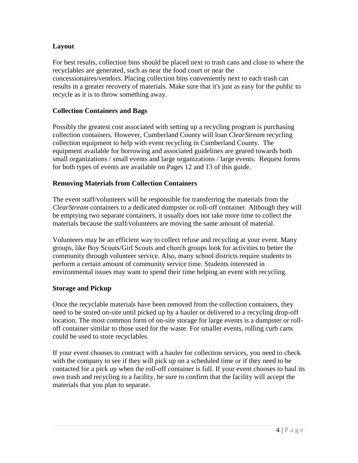## **Layout**

For best results, collection bins should be placed next to trash cans and close to where the recyclables are generated, such as near the food court or near the concessionaires/vendors. Placing collection bins conveniently next to each trash can results in a greater recovery of materials. Make sure that it's just as easy for the public to recycle as it is to throw something away.

## **Collection Containers and Bags**

Possibly the greatest cost associated with setting up a recycling program is purchasing collection containers. However, Cumberland County will loan *ClearStream* recycling collection equipment to help with event recycling in Cumberland County. The equipment available for borrowing and associated guidelines are geared towards both small organizations / small events and large organizations / large events. Request forms for both types of events are available on Pages 12 and 13 of this guide.

## **Removing Materials from Collection Containers**

The event staff/volunteers will be responsible for transferring the materials from the *ClearStream* containers to a dedicated dumpster or roll-off container. Although they will be emptying two separate containers, it usually does not take more time to collect the materials because the staff/volunteers are moving the same amount of material.

Volunteers may be an efficient way to collect refuse and recycling at your event. Many groups, like Boy Scouts/Girl Scouts and church groups look for activities to better the community through volunteer service. Also, many school districts require students to perform a certain amount of community service time. Students interested in environmental issues may want to spend their time helping an event with recycling.

## **Storage and Pickup**

Once the recyclable materials have been removed from the collection containers, they need to be stored on-site until picked up by a hauler or delivered to a recycling drop-off location. The most common form of on-site storage for large events is a dumpster or rolloff container similar to those used for the waste. For smaller events, rolling curb carts could be used to store recyclables.

If your event chooses to contract with a hauler for collection services, you need to check with the company to see if they will pick up on a scheduled time or if they need to be contacted for a pick up when the roll-off container is full. If your event chooses to haul its own trash and recycling to a facility, be sure to confirm that the facility will accept the materials that you plan to separate.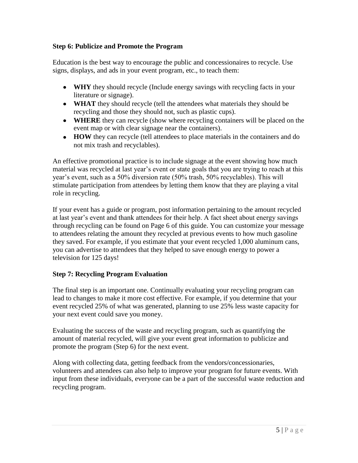## **Step 6: Publicize and Promote the Program**

Education is the best way to encourage the public and concessionaires to recycle. Use signs, displays, and ads in your event program, etc., to teach them:

- **WHY** they should recycle (Include energy savings with recycling facts in your literature or signage).
- **WHAT** they should recycle (tell the attendees what materials they should be recycling and those they should not, such as plastic cups).
- **WHERE** they can recycle (show where recycling containers will be placed on the event map or with clear signage near the containers).
- **HOW** they can recycle (tell attendees to place materials in the containers and do not mix trash and recyclables).

An effective promotional practice is to include signage at the event showing how much material was recycled at last year's event or state goals that you are trying to reach at this year's event, such as a 50% diversion rate (50% trash, 50% recyclables). This will stimulate participation from attendees by letting them know that they are playing a vital role in recycling.

If your event has a guide or program, post information pertaining to the amount recycled at last year's event and thank attendees for their help. A fact sheet about energy savings through recycling can be found on Page 6 of this guide. You can customize your message to attendees relating the amount they recycled at previous events to how much gasoline they saved. For example, if you estimate that your event recycled 1,000 aluminum cans, you can advertise to attendees that they helped to save enough energy to power a television for 125 days!

#### **Step 7: Recycling Program Evaluation**

The final step is an important one. Continually evaluating your recycling program can lead to changes to make it more cost effective. For example, if you determine that your event recycled 25% of what was generated, planning to use 25% less waste capacity for your next event could save you money.

Evaluating the success of the waste and recycling program, such as quantifying the amount of material recycled, will give your event great information to publicize and promote the program (Step 6) for the next event.

Along with collecting data, getting feedback from the vendors/concessionaries, volunteers and attendees can also help to improve your program for future events. With input from these individuals, everyone can be a part of the successful waste reduction and recycling program.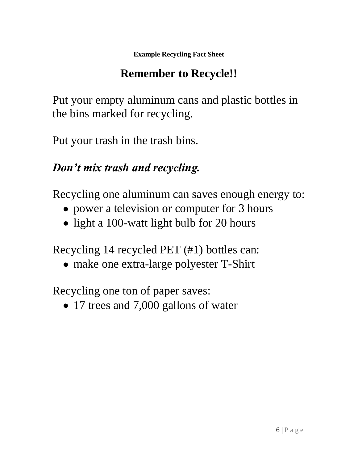**Example Recycling Fact Sheet**

## **Remember to Recycle!!**

Put your empty aluminum cans and plastic bottles in the bins marked for recycling.

Put your trash in the trash bins.

## *Don't mix trash and recycling.*

Recycling one aluminum can saves enough energy to:

- power a television or computer for 3 hours
- light a 100-watt light bulb for 20 hours

Recycling 14 recycled PET (#1) bottles can:

• make one extra-large polyester T-Shirt

Recycling one ton of paper saves:

• 17 trees and 7,000 gallons of water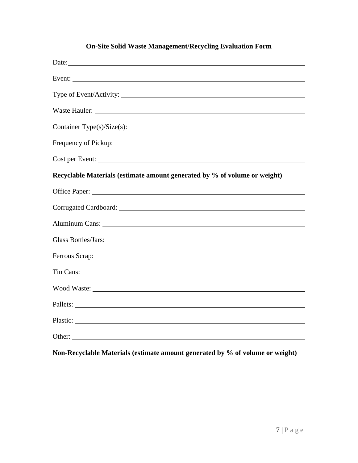## **On-Site Solid Waste Management/Recycling Evaluation Form**

| Event:                                                                                                                                                                                                                         |
|--------------------------------------------------------------------------------------------------------------------------------------------------------------------------------------------------------------------------------|
|                                                                                                                                                                                                                                |
|                                                                                                                                                                                                                                |
|                                                                                                                                                                                                                                |
|                                                                                                                                                                                                                                |
| Cost per Event:                                                                                                                                                                                                                |
| Recyclable Materials (estimate amount generated by % of volume or weight)                                                                                                                                                      |
|                                                                                                                                                                                                                                |
|                                                                                                                                                                                                                                |
|                                                                                                                                                                                                                                |
|                                                                                                                                                                                                                                |
|                                                                                                                                                                                                                                |
|                                                                                                                                                                                                                                |
|                                                                                                                                                                                                                                |
| Pallets:                                                                                                                                                                                                                       |
| Plastic: National Communication of the Communication of the Communication of the Communication of the Communication of the Communication of the Communication of the Communication of the Communication of the Communication o |
|                                                                                                                                                                                                                                |
| Non-Recyclable Materials (estimate amount generated by % of volume or weight)                                                                                                                                                  |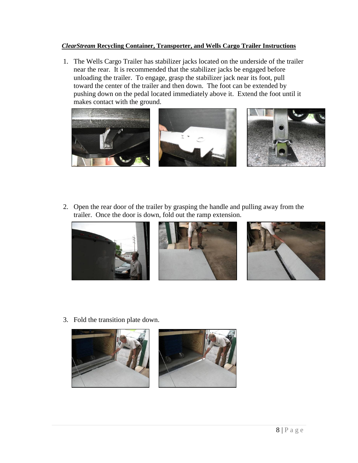#### *ClearStream* **Recycling Container, Transporter, and Wells Cargo Trailer Instructions**

1. The Wells Cargo Trailer has stabilizer jacks located on the underside of the trailer near the rear. It is recommended that the stabilizer jacks be engaged before unloading the trailer. To engage, grasp the stabilizer jack near its foot, pull toward the center of the trailer and then down. The foot can be extended by pushing down on the pedal located immediately above it. Extend the foot until it makes contact with the ground.



2. Open the rear door of the trailer by grasping the handle and pulling away from the trailer. Once the door is down, fold out the ramp extension.



3. Fold the transition plate down.



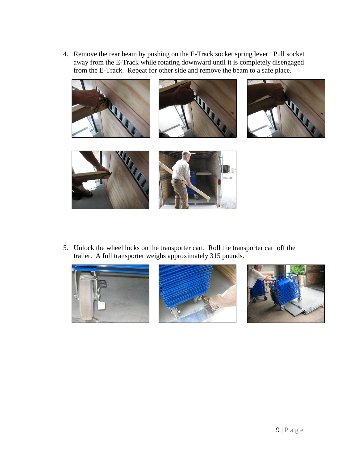4. Remove the rear beam by pushing on the E-Track socket spring lever. Pull socket away from the E-Track while rotating downward until it is completely disengaged from the E-Track. Repeat for other side and remove the beam to a safe place.



5. Unlock the wheel locks on the transporter cart. Roll the transporter cart off the trailer. A full transporter weighs approximately 315 pounds.





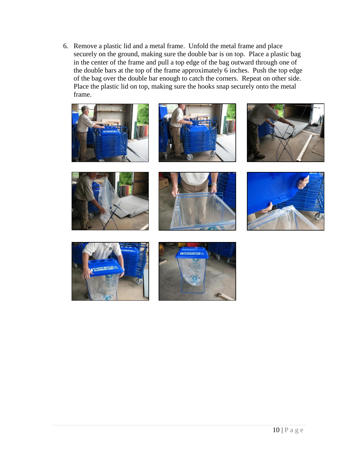6. Remove a plastic lid and a metal frame. Unfold the metal frame and place securely on the ground, making sure the double bar is on top. Place a plastic bag in the center of the frame and pull a top edge of the bag outward through one of the double bars at the top of the frame approximately 6 inches. Push the top edge of the bag over the double bar enough to catch the corners. Repeat on other side. Place the plastic lid on top, making sure the hooks snap securely onto the metal frame.















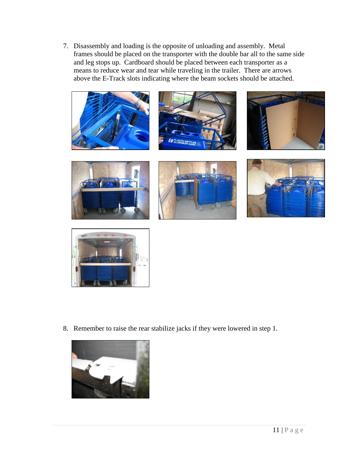7. Disassembly and loading is the opposite of unloading and assembly. Metal frames should be placed on the transporter with the double bar all to the same side and leg stops up. Cardboard should be placed between each transporter as a means to reduce wear and tear while traveling in the trailer. There are arrows above the E-Track slots indicating where the beam sockets should be attached.















8. Remember to raise the rear stabilize jacks if they were lowered in step 1.

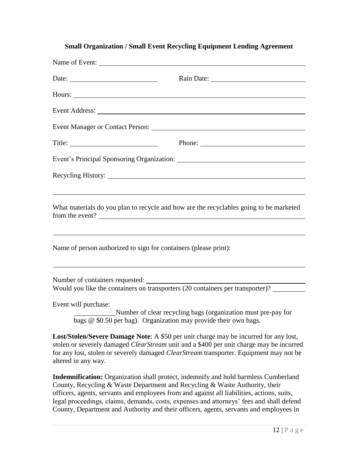## **Small Organization / Small Event Recycling Equipment Lending Agreement**

| Name of Event:                                                                                                                                                                                                                 |                                                                                                                                                                                                 |
|--------------------------------------------------------------------------------------------------------------------------------------------------------------------------------------------------------------------------------|-------------------------------------------------------------------------------------------------------------------------------------------------------------------------------------------------|
| Date: $\qquad \qquad$                                                                                                                                                                                                          |                                                                                                                                                                                                 |
| Hours: New York Contract the Contract of the Contract of the Contract of the Contract of the Contract of the Contract of the Contract of the Contract of the Contract of the Contract of the Contract of the Contract of the C |                                                                                                                                                                                                 |
|                                                                                                                                                                                                                                |                                                                                                                                                                                                 |
|                                                                                                                                                                                                                                |                                                                                                                                                                                                 |
|                                                                                                                                                                                                                                |                                                                                                                                                                                                 |
|                                                                                                                                                                                                                                |                                                                                                                                                                                                 |
|                                                                                                                                                                                                                                |                                                                                                                                                                                                 |
|                                                                                                                                                                                                                                | ,我们也不会有什么。""我们的人,我们也不会有什么?""我们的人,我们也不会有什么?""我们的人,我们也不会有什么?""我们的人,我们也不会有什么?""我们的人                                                                                                                |
| from the event?                                                                                                                                                                                                                | What materials do you plan to recycle and how are the recyclables going to be marketed                                                                                                          |
|                                                                                                                                                                                                                                |                                                                                                                                                                                                 |
| Name of person authorized to sign for containers (please print):                                                                                                                                                               |                                                                                                                                                                                                 |
|                                                                                                                                                                                                                                |                                                                                                                                                                                                 |
| Would you like the containers on transporters (20 containers per transporter)?                                                                                                                                                 |                                                                                                                                                                                                 |
| Event will purchase:<br>bags $@$ \$0.50 per bag). Organization may provide their own bags.                                                                                                                                     | Number of clear recycling bags (organization must pre-pay for                                                                                                                                   |
| Lost/Stolen/Severe Damage Note: A \$50 per unit charge may be incurred for any lost,<br>altered in any way.                                                                                                                    | stolen or severely damaged <i>ClearStream</i> unit and a \$400 per unit charge may be incurred<br>for any lost, stolen or severely damaged <i>ClearStream</i> transporter. Equipment may not be |
| Indemnification: Organization shall protect, indemnify and hold harmless Cumberland                                                                                                                                            |                                                                                                                                                                                                 |

County, Recycling & Waste Department and Recycling & Waste Authority, their officers, agents, servants and employees from and against all liabilities, actions, suits, legal proceedings, claims, demands, costs, expenses and attorneys' fees and shall defend County, Department and Authority and their officers, agents, servants and employees in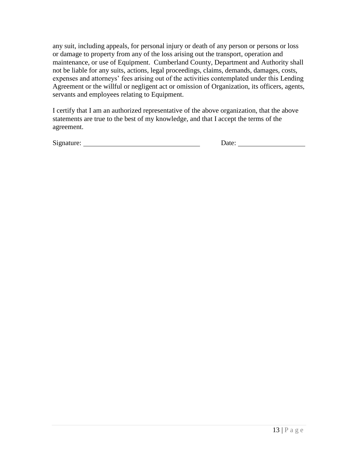any suit, including appeals, for personal injury or death of any person or persons or loss or damage to property from any of the loss arising out the transport, operation and maintenance, or use of Equipment. Cumberland County, Department and Authority shall not be liable for any suits, actions, legal proceedings, claims, demands, damages, costs, expenses and attorneys' fees arising out of the activities contemplated under this Lending Agreement or the willful or negligent act or omission of Organization, its officers, agents, servants and employees relating to Equipment.

I certify that I am an authorized representative of the above organization, that the above statements are true to the best of my knowledge, and that I accept the terms of the agreement.

Signature: Date: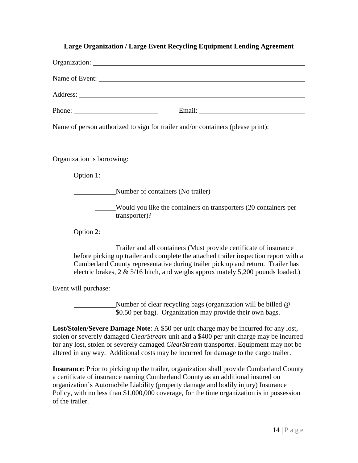## **Large Organization / Large Event Recycling Equipment Lending Agreement**

|                            | Organization:                                                                     |
|----------------------------|-----------------------------------------------------------------------------------|
|                            | Name of Event:                                                                    |
|                            |                                                                                   |
|                            |                                                                                   |
|                            | Name of person authorized to sign for trailer and/or containers (please print):   |
| Organization is borrowing: |                                                                                   |
| Option 1:                  |                                                                                   |
|                            | Number of containers (No trailer)                                                 |
|                            | Would you like the containers on transporters (20 containers per<br>transporter)? |

Option 2:

Trailer and all containers (Must provide certificate of insurance before picking up trailer and complete the attached trailer inspection report with a Cumberland County representative during trailer pick up and return. Trailer has electric brakes, 2 & 5/16 hitch, and weighs approximately 5,200 pounds loaded.)

Event will purchase:

Number of clear recycling bags (organization will be billed @ \$0.50 per bag). Organization may provide their own bags.

**Lost/Stolen/Severe Damage Note**: A \$50 per unit charge may be incurred for any lost, stolen or severely damaged *ClearStream* unit and a \$400 per unit charge may be incurred for any lost, stolen or severely damaged *ClearStream* transporter. Equipment may not be altered in any way. Additional costs may be incurred for damage to the cargo trailer.

**Insurance**: Prior to picking up the trailer, organization shall provide Cumberland County a certificate of insurance naming Cumberland County as an additional insured on organization's Automobile Liability (property damage and bodily injury) Insurance Policy, with no less than \$1,000,000 coverage, for the time organization is in possession of the trailer.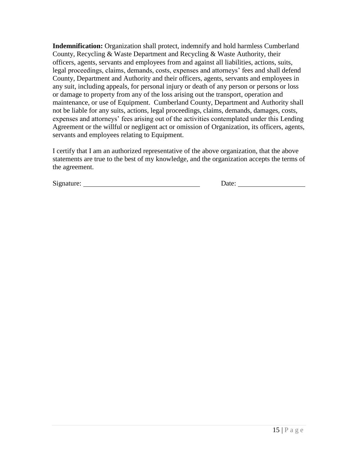**Indemnification:** Organization shall protect, indemnify and hold harmless Cumberland County, Recycling & Waste Department and Recycling & Waste Authority, their officers, agents, servants and employees from and against all liabilities, actions, suits, legal proceedings, claims, demands, costs, expenses and attorneys' fees and shall defend County, Department and Authority and their officers, agents, servants and employees in any suit, including appeals, for personal injury or death of any person or persons or loss or damage to property from any of the loss arising out the transport, operation and maintenance, or use of Equipment. Cumberland County, Department and Authority shall not be liable for any suits, actions, legal proceedings, claims, demands, damages, costs, expenses and attorneys' fees arising out of the activities contemplated under this Lending Agreement or the willful or negligent act or omission of Organization, its officers, agents, servants and employees relating to Equipment.

I certify that I am an authorized representative of the above organization, that the above statements are true to the best of my knowledge, and the organization accepts the terms of the agreement.

Signature: Date: